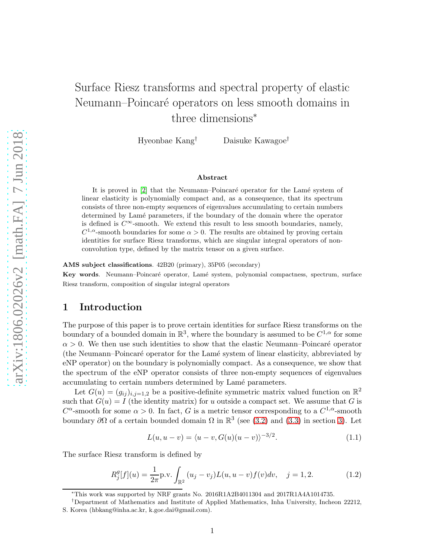# Surface Riesz transforms and spectral property of elastic Neumann–Poincaré operators on less smooth domains in three dimensions<sup>∗</sup>

Hyeonbae Kang† Daisuke Kawagoe†

#### Abstract

It is proved in [\[2\]](#page-13-0) that the Neumann–Poincaré operator for the Lamé system of linear elasticity is polynomially compact and, as a consequence, that its spectrum consists of three non-empty sequences of eigenvalues accumulating to certain numbers determined by Lamé parameters, if the boundary of the domain where the operator is defined is  $C^{\infty}$ -smooth. We extend this result to less smooth boundaries, namely,  $C^{1,\alpha}$ -smooth boundaries for some  $\alpha > 0$ . The results are obtained by proving certain identities for surface Riesz transforms, which are singular integral operators of nonconvolution type, defined by the matrix tensor on a given surface.

AMS subject classifications. 42B20 (primary), 35P05 (secondary)

Key words. Neumann–Poincaré operator, Lamé system, polynomial compactness, spectrum, surface Riesz transform, composition of singular integral operators

## 1 Introduction

The purpose of this paper is to prove certain identities for surface Riesz transforms on the boundary of a bounded domain in  $\mathbb{R}^3$ , where the boundary is assumed to be  $C^{1,\alpha}$  for some  $\alpha > 0$ . We then use such identities to show that the elastic Neumann–Poincaré operator (the Neumann–Poincar´e operator for the Lam´e system of linear elasticity, abbreviated by eNP operator) on the boundary is polynomially compact. As a consequence, we show that the spectrum of the eNP operator consists of three non-empty sequences of eigenvalues accumulating to certain numbers determined by Lamé parameters.

Let  $G(u) = (g_{ij})_{i,j=1,2}$  be a positive-definite symmetric matrix valued function on  $\mathbb{R}^2$ such that  $G(u) = I$  (the identity matrix) for u outside a compact set. We assume that G is  $C^{\alpha}$ -smooth for some  $\alpha > 0$ . In fact, G is a metric tensor corresponding to a  $C^{1,\alpha}$ -smooth boundary  $\partial\Omega$  of a certain bounded domain  $\Omega$  in  $\mathbb{R}^3$  (see [\(3.2\)](#page-10-0) and [\(3.3\)](#page-10-1) in section [3\)](#page-9-0). Let

<span id="page-0-0"></span>
$$
L(u, u - v) = \langle u - v, G(u)(u - v) \rangle^{-3/2}.
$$
\n(1.1)

The surface Riesz transform is defined by

<span id="page-0-1"></span>
$$
R_j^g[f](u) = \frac{1}{2\pi} \text{p.v.} \int_{\mathbb{R}^2} (u_j - v_j) L(u, u - v) f(v) dv, \quad j = 1, 2.
$$
 (1.2)

<sup>∗</sup>This work was supported by NRF grants No. 2016R1A2B4011304 and 2017R1A4A1014735.

<sup>†</sup>Department of Mathematics and Institute of Applied Mathematics, Inha University, Incheon 22212, S. Korea (hbkang@inha.ac.kr, k.goe.dai@gmail.com).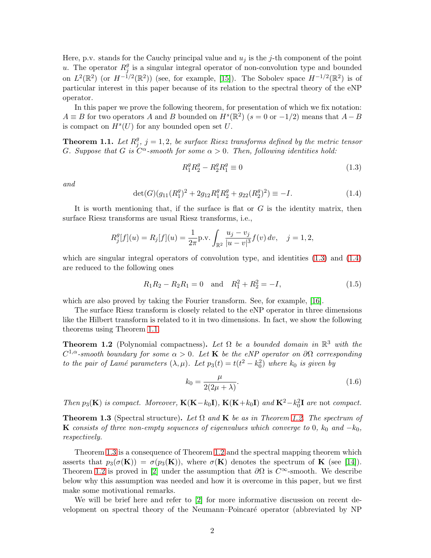Here, p.v. stands for the Cauchy principal value and  $u_j$  is the j-th component of the point u. The operator  $R_i^g$  $_j^g$  is a singular integral operator of non-convolution type and bounded on  $L^2(\mathbb{R}^2)$  (or  $H^{-1/2}(\mathbb{R}^2)$ ) (see, for example, [\[15\]](#page-13-1)). The Sobolev space  $H^{-1/2}(\mathbb{R}^2)$  is of particular interest in this paper because of its relation to the spectral theory of the eNP operator.

In this paper we prove the following theorem, for presentation of which we fix notation:  $A \equiv B$  for two operators A and B bounded on  $H<sup>s</sup>(\mathbb{R}<sup>2</sup>)$  ( $s = 0$  or  $-1/2$ ) means that  $A - B$ is compact on  $H^s(U)$  for any bounded open set U.

<span id="page-1-2"></span>**Theorem 1.1.** Let  $R_i^g$  $j^g_j$ ,  $j=1,2,$  be surface Riesz transforms defined by the metric tensor G. Suppose that G is  $C^{\alpha}$ -smooth for some  $\alpha > 0$ . Then, following identities hold:

<span id="page-1-0"></span>
$$
R_1^g R_2^g - R_2^g R_1^g \equiv 0 \tag{1.3}
$$

*and*

<span id="page-1-1"></span>
$$
\det(G)(g_{11}(R_1^g)^2 + 2g_{12}R_1^g R_2^g + g_{22}(R_2^g)^2) \equiv -I. \tag{1.4}
$$

It is worth mentioning that, if the surface is flat or  $G$  is the identity matrix, then surface Riesz transforms are usual Riesz transforms, i.e.,

$$
R_j^g[f](u) = R_j[f](u) = \frac{1}{2\pi} \text{p.v.} \int_{\mathbb{R}^2} \frac{u_j - v_j}{|u - v|^3} f(v) \, dv, \quad j = 1, 2,
$$

which are singular integral operators of convolution type, and identities  $(1.3)$  and  $(1.4)$ are reduced to the following ones

$$
R_1R_2 - R_2R_1 = 0
$$
 and  $R_1^2 + R_2^2 = -I,$  (1.5)

which are also proved by taking the Fourier transform. See, for example, [\[16\]](#page-13-2).

The surface Riesz transform is closely related to the eNP operator in three dimensions like the Hilbert transform is related to it in two dimensions. In fact, we show the following theorems using Theorem [1.1.](#page-1-2)

<span id="page-1-3"></span>**Theorem 1.2** (Polynomial compactness). Let  $\Omega$  be a bounded domain in  $\mathbb{R}^3$  with the C <sup>1</sup>,α*-smooth boundary for some* α > 0*. Let* K *be the eNP operator on* ∂Ω *corresponding to the pair of Lamé parameters*  $(\lambda, \mu)$ *. Let*  $p_3(t) = t(t^2 - k_0^2)$  where  $k_0$  *is given by* 

<span id="page-1-5"></span>
$$
k_0 = \frac{\mu}{2(2\mu + \lambda)}.\tag{1.6}
$$

*Then*  $p_3(\mathbf{K})$  *is compact.* Moreover,  $\mathbf{K}(\mathbf{K}-k_0\mathbf{I})$ ,  $\mathbf{K}(\mathbf{K}+k_0\mathbf{I})$  and  $\mathbf{K}^2-k_0^2\mathbf{I}$  are not *compact.* 

<span id="page-1-4"></span>Theorem 1.3 (Spectral structure). *Let* Ω *and* K *be as in Theorem [1.2.](#page-1-3) The spectrum of* K *consists of three non-empty sequences of eigenvalues which converge to* 0*,*  $k_0$  and  $-k_0$ *, respectively.*

Theorem [1.3](#page-1-4) is a consequence of Theorem [1.2](#page-1-3) and the spectral mapping theorem which asserts that  $p_3(\sigma(\mathbf{K})) = \sigma(p_3(\mathbf{K}))$ , where  $\sigma(\mathbf{K})$  denotes the spectrum of **K** (see [\[14\]](#page-13-3)). Theorem [1.2](#page-1-3) is proved in [\[2\]](#page-13-0) under the assumption that  $\partial\Omega$  is  $C^{\infty}$ -smooth. We describe below why this assumption was needed and how it is overcome in this paper, but we first make some motivational remarks.

We will be brief here and refer to [\[2\]](#page-13-0) for more informative discussion on recent development on spectral theory of the Neumann–Poincaré operator (abbreviated by NP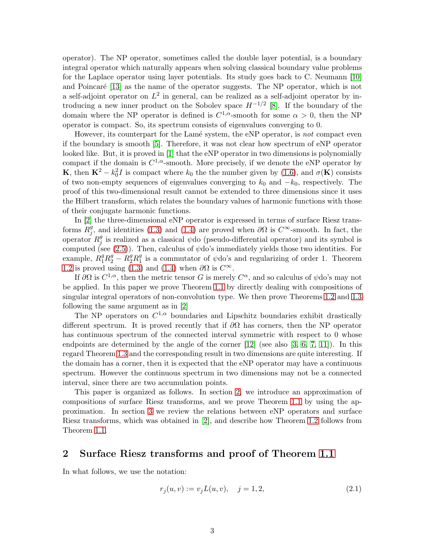operator). The NP operator, sometimes called the double layer potential, is a boundary integral operator which naturally appears when solving classical boundary value problems for the Laplace operator using layer potentials. Its study goes back to C. Neumann [\[10\]](#page-13-4) and Poincaré [\[13\]](#page-13-5) as the name of the operator suggests. The NP operator, which is not a self-adjoint operator on  $L^2$  in general, can be realized as a self-adjoint operator by introducing a new inner product on the Sobolev space  $H^{-1/2}$  [\[8\]](#page-13-6). If the boundary of the domain where the NP operator is defined is  $C^{1,\alpha}$ -smooth for some  $\alpha > 0$ , then the NP operator is compact. So, its spectrum consists of eigenvalues converging to 0.

However, its counterpart for the Lam´e system, the eNP operator, is *not* compact even if the boundary is smooth [\[5\]](#page-13-7). Therefore, it was not clear how spectrum of eNP operator looked like. But, it is proved in [\[1\]](#page-13-8) that the eNP operator in two dimensions is polynomially compact if the domain is  $C^{1,\alpha}$ -smooth. More precisely, if we denote the eNP operator by **K**, then  $\mathbf{K}^2 - k_0^2 I$  is compact where  $k_0$  the the number given by [\(1.6\)](#page-1-5), and  $\sigma(\mathbf{K})$  consists of two non-empty sequences of eigenvalues converging to  $k_0$  and  $-k_0$ , respectively. The proof of this two-dimensional result cannot be extended to three dimensions since it uses the Hilbert transform, which relates the boundary values of harmonic functions with those of their conjugate harmonic functions.

In [\[2\]](#page-13-0) the three-dimensional eNP operator is expressed in terms of surface Riesz transforms  $R_i^g$  $j_j^g$ , and identities [\(1.3\)](#page-1-0) and [\(1.4\)](#page-1-1) are proved when  $\partial\Omega$  is  $C^{\infty}$ -smooth. In fact, the operator  $R_i^g$  $_j^g$  is realized as a classical  $\psi$ do (pseudo-differential operator) and its symbol is computed (see  $(2.5)$ ). Then, calculus of  $\psi$ do's immediately yields those two identities. For example,  $R_1^g R_2^g - R_2^g R_1^g$  is a commutator of  $\psi$ do's and regularizing of order 1. Theorem [1.2](#page-1-3) is proved using [\(1.3\)](#page-1-0) and [\(1.4\)](#page-1-1) when  $\partial\Omega$  is  $C^{\infty}$ .

If  $\partial\Omega$  is  $C^{1,\alpha}$ , then the metric tensor G is merely  $C^{\alpha}$ , and so calculus of  $\psi$ do's may not be applied. In this paper we prove Theorem [1.1](#page-1-2) by directly dealing with compositions of singular integral operators of non-convolution type. We then prove Theorems [1.2](#page-1-3) and [1.3](#page-1-4) following the same argument as in [\[2\]](#page-13-0)

The NP operators on  $C^{1,\alpha}$  boundaries and Lipschitz boundaries exhibit drastically different spectrum. It is proved recently that if  $\partial\Omega$  has corners, then the NP operator has continuous spectrum of the connected interval symmetric with respect to 0 whose endpoints are determined by the angle of the corner [\[12\]](#page-13-9) (see also [\[3,](#page-13-10) [6,](#page-13-11) [7,](#page-13-12) [11\]](#page-13-13)). In this regard Theorem [1.3](#page-1-4) and the corresponding result in two dimensions are quite interesting. If the domain has a corner, then it is expected that the eNP operator may have a continuous spectrum. However the continuous spectrum in two dimensions may not be a connected interval, since there are two accumulation points.

This paper is organized as follows. In section [2,](#page-2-0) we introduce an approximation of compositions of surface Riesz transforms, and we prove Theorem [1.1](#page-1-2) by using the approximation. In section [3](#page-9-0) we review the relations between eNP operators and surface Riesz transforms, which was obtained in [\[2\]](#page-13-0), and describe how Theorem [1.2](#page-1-3) follows from Theorem [1.1.](#page-1-2)

#### <span id="page-2-0"></span>2 Surface Riesz transforms and proof of Theorem [1.1](#page-1-2)

In what follows, we use the notation:

<span id="page-2-1"></span>
$$
r_j(u, v) := v_j L(u, v), \quad j = 1, 2,
$$
\n(2.1)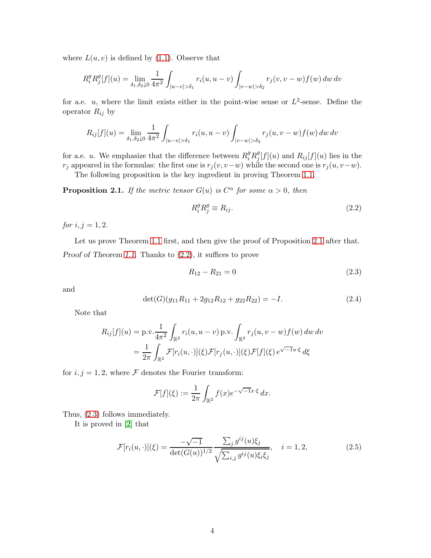where  $L(u, v)$  is defined by [\(1.1\)](#page-0-0). Observe that

$$
R_i^g R_j^g [f](u) = \lim_{\delta_1, \delta_2 \downarrow 0} \frac{1}{4\pi^2} \int_{|u-v| > \delta_1} r_i(u, u-v) \int_{|v-w| > \delta_2} r_j(v, v-w) f(w) \, dw \, dv
$$

for a.e. u, where the limit exists either in the point-wise sense or  $L^2$ -sense. Define the operator  $R_{ij}$  by

$$
R_{ij}[f](u) = \lim_{\delta_1, \delta_2 \downarrow 0} \frac{1}{4\pi^2} \int_{|u-v| > \delta_1} r_i(u, u-v) \int_{|v-w| > \delta_2} r_j(u, v-w) f(w) \, dw \, dv
$$

for a.e. *u*. We emphasize that the difference between  $R_i^g R_j^g$  $j[f](u)$  and  $R_{ij}[f](u)$  lies in the  $r_j$  appeared in the formulas: the first one is  $r_j(v, v-w)$  while the second one is  $r_j(u, v-w)$ .

The following proposition is the key ingredient in proving Theorem [1.1.](#page-1-2)

<span id="page-3-1"></span>**Proposition 2.1.** *If the metric tensor*  $G(u)$  *is*  $C^{\alpha}$  *for some*  $\alpha > 0$ *, then* 

<span id="page-3-2"></span>
$$
R_i^g R_j^g \equiv R_{ij}.\tag{2.2}
$$

*for*  $i, j = 1, 2$ *.* 

Let us prove Theorem [1.1](#page-1-2) first, and then give the proof of Proposition [2.1](#page-3-1) after that. Proof of Theorem [1.1](#page-1-2). Thanks to [\(2.2\)](#page-3-2), it suffices to prove

<span id="page-3-3"></span>
$$
R_{12} - R_{21} = 0 \tag{2.3}
$$

and

$$
\det(G)(g_{11}R_{11} + 2g_{12}R_{12} + g_{22}R_{22}) = -I.
$$
\n(2.4)

Note that

$$
R_{ij}[f](u) = \text{p.v.} \frac{1}{4\pi^2} \int_{\mathbb{R}^2} r_i(u, u - v) \text{ p.v.} \int_{\mathbb{R}^2} r_j(u, v - w) f(w) \, dw \, dv
$$

$$
= \frac{1}{2\pi} \int_{\mathbb{R}^2} \mathcal{F}[r_i(u, \cdot)](\xi) \mathcal{F}[r_j(u, \cdot)](\xi) \mathcal{F}[f](\xi) e^{\sqrt{-1}u \cdot \xi} d\xi
$$

for  $i, j = 1, 2$ , where  $\mathcal F$  denotes the Fourier transform:

$$
\mathcal{F}[f](\xi) := \frac{1}{2\pi} \int_{\mathbb{R}^2} f(x) e^{-\sqrt{-1}x \cdot \xi} dx.
$$

Thus, [\(2.3\)](#page-3-3) follows immediately.

It is proved in [\[2\]](#page-13-0) that

<span id="page-3-0"></span>
$$
\mathcal{F}[r_i(u, \cdot)](\xi) = \frac{-\sqrt{-1}}{\det(G(u))^{1/2}} \frac{\sum_j g^{ij}(u)\xi_j}{\sqrt{\sum_{i,j} g^{ij}(u)\xi_i\xi_j}}, \quad i = 1, 2,
$$
\n(2.5)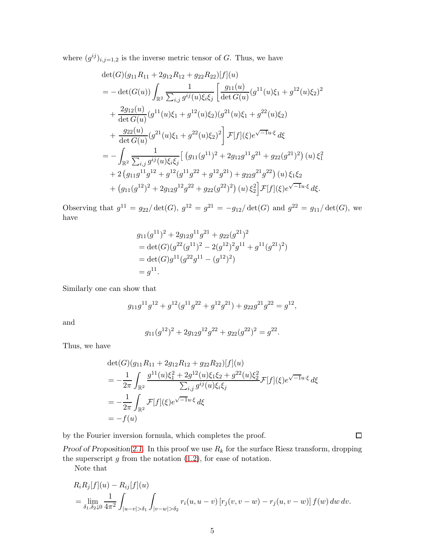where  $(g^{ij})_{i,j=1,2}$  is the inverse metric tensor of G. Thus, we have

$$
det(G)(g_{11}R_{11} + 2g_{12}R_{12} + g_{22}R_{22})[f](u)
$$
  
= 
$$
-det(G(u)) \int_{\mathbb{R}^2} \frac{1}{\sum_{i,j} g^{ij}(u)\xi_i\xi_j} \left[ \frac{g_{11}(u)}{\det G(u)} (g^{11}(u)\xi_1 + g^{12}(u)\xi_2)^2 + \frac{2g_{12}(u)}{\det G(u)} (g^{11}(u)\xi_1 + g^{12}(u)\xi_2) (g^{21}(u)\xi_1 + g^{22}(u)\xi_2) + \frac{g_{22}(u)}{\det G(u)} (g^{21}(u)\xi_1 + g^{22}(u)\xi_2)^2 \right] \mathcal{F}[f](\xi) e^{\sqrt{-1}u \cdot \xi} d\xi
$$
  
= 
$$
- \int_{\mathbb{R}^2} \frac{1}{\sum_{i,j} g^{ij}(u)\xi_i\xi_j} \left[ (g_{11}(g^{11})^2 + 2g_{12}g^{11}g^{21} + g_{22}(g^{21})^2) (u)\xi_1^2 + 2(g_{11}g^{11}g^{12} + g^{12}(g^{11}g^{22} + g^{12}g^{21}) + g_{22}g^{21}g^{22}) (u)\xi_1\xi_2 + (g_{11}(g^{12})^2 + 2g_{12}g^{12}g^{22} + g_{22}(g^{22})^2) (u)\xi_2^2 \right] \mathcal{F}[f](\xi) e^{\sqrt{-1}u \cdot \xi} d\xi.
$$

Observing that  $g^{11} = g_{22}/\det(G)$ ,  $g^{12} = g^{21} = -g_{12}/\det(G)$  and  $g^{22} = g_{11}/\det(G)$ , we have

$$
g_{11}(g^{11})^2 + 2g_{12}g^{11}g^{21} + g_{22}(g^{21})^2
$$
  
= det(G)(g^{22}(g^{11})^2 - 2(g^{12})^2g^{11} + g^{11}(g^{21})^2)  
= det(G)g^{11}(g^{22}g^{11} - (g^{12})^2)  
= g^{11}.

Similarly one can show that

$$
g_{11}g^{11}g^{12} + g^{12}(g^{11}g^{22} + g^{12}g^{21}) + g_{22}g^{21}g^{22} = g^{12},
$$

and

$$
g_{11}(g^{12})^2 + 2g_{12}g^{12}g^{22} + g_{22}(g^{22})^2 = g^{22}.
$$

Thus, we have

$$
\begin{split} &\det(G)(g_{11}R_{11} + 2g_{12}R_{12} + g_{22}R_{22})[f](u) \\ &= -\frac{1}{2\pi} \int_{\mathbb{R}^2} \frac{g^{11}(u)\xi_1^2 + 2g^{12}(u)\xi_1\xi_2 + g^{22}(u)\xi_2^2}{\sum_{i,j} g^{ij}(u)\xi_i\xi_j} \mathcal{F}[f](\xi)e^{\sqrt{-1}u\cdot\xi} d\xi \\ &= -\frac{1}{2\pi} \int_{\mathbb{R}^2} \mathcal{F}[f](\xi)e^{\sqrt{-1}u\cdot\xi} d\xi \\ &= -f(u) \end{split}
$$

by the Fourier inversion formula, which completes the proof.

 $\Box$ 

Proof of Proposition [2.1](#page-3-1). In this proof we use  $R_k$  for the surface Riesz transform, dropping the superscript  $g$  from the notation  $(1.2)$ , for ease of notation.

Note that

$$
R_i R_j[f](u) - R_{ij}[f](u)
$$
  
=  $\lim_{\delta_1, \delta_2 \downarrow 0} \frac{1}{4\pi^2} \int_{|u-v| > \delta_1} \int_{|v-w| > \delta_2} r_i(u, u-v) [r_j(v, v-w) - r_j(u, v-w)] f(w) dw dv.$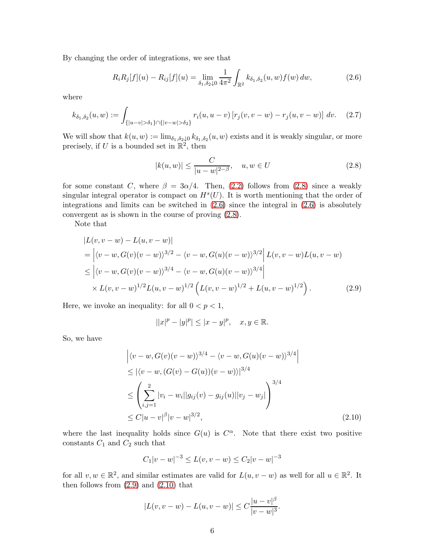By changing the order of integrations, we see that

<span id="page-5-1"></span>
$$
R_i R_j[f](u) - R_{ij}[f](u) = \lim_{\delta_1, \delta_2 \downarrow 0} \frac{1}{4\pi^2} \int_{\mathbb{R}^2} k_{\delta_1, \delta_2}(u, w) f(w) \, dw,\tag{2.6}
$$

where

<span id="page-5-4"></span>
$$
k_{\delta_1, \delta_2}(u, w) := \int_{\{|u-v| > \delta_1\} \cap \{|v-w| > \delta_2\}} r_i(u, u-v) \left[r_j(v, v-w) - r_j(u, v-w)\right] dv. \tag{2.7}
$$

We will show that  $k(u, w) := \lim_{\delta_1, \delta_2 \downarrow 0} k_{\delta_1, \delta_2}(u, w)$  exists and it is weakly singular, or more precisely, if U is a bounded set in  $\mathbb{R}^2$ , then

<span id="page-5-0"></span>
$$
|k(u, w)| \le \frac{C}{|u - w|^{2 - \beta}}, \quad u, w \in U
$$
\n(2.8)

for some constant C, where  $\beta = 3\alpha/4$ . Then, [\(2.2\)](#page-3-2) follows from [\(2.8\)](#page-5-0) since a weakly singular integral operator is compact on  $H<sup>s</sup>(U)$ . It is worth mentioning that the order of integrations and limits can be switched in  $(2.6)$  since the integral in  $(2.6)$  is absolutely convergent as is shown in the course of proving [\(2.8\)](#page-5-0).

Note that

$$
|L(v, v - w) - L(u, v - w)|
$$
  
=  $|\langle v - w, G(v)(v - w)\rangle^{3/2} - \langle v - w, G(u)(v - w)\rangle^{3/2}|L(v, v - w)L(u, v - w)$   
 $\leq |\langle v - w, G(v)(v - w)\rangle^{3/4} - \langle v - w, G(u)(v - w)\rangle^{3/4}|$   
 $\times L(v, v - w)^{1/2}L(u, v - w)^{1/2} (L(v, v - w)^{1/2} + L(u, v - w)^{1/2}).$  (2.9)

Here, we invoke an inequality: for all  $0 < p < 1$ ,

<span id="page-5-2"></span>
$$
||x|^p - |y|^p| \le |x - y|^p, \quad x, y \in \mathbb{R}.
$$

So, we have

$$
\left| \langle v - w, G(v)(v - w) \rangle^{3/4} - \langle v - w, G(u)(v - w) \rangle^{3/4} \right|
$$
  
\n
$$
\leq |\langle v - w, (G(v) - G(u))(v - w) \rangle|^{3/4}
$$
  
\n
$$
\leq \left( \sum_{i,j=1}^{2} |v_i - w_i| |g_{ij}(v) - g_{ij}(u)| |v_j - w_j| \right)^{3/4}
$$
  
\n
$$
\leq C |u - v|^{\beta} |v - w|^{3/2},
$$
\n(2.10)

where the last inequality holds since  $G(u)$  is  $C^{\alpha}$ . Note that there exist two positive constants  $C_1$  and  $C_2$  such that

<span id="page-5-3"></span>
$$
C_1|v - w|^{-3} \le L(v, v - w) \le C_2|v - w|^{-3}
$$

for all  $v, w \in \mathbb{R}^2$ , and similar estimates are valid for  $L(u, v - w)$  as well for all  $u \in \mathbb{R}^2$ . It then follows from  $(2.9)$  and  $(2.10)$  that

$$
|L(v, v - w) - L(u, v - w)| \le C \frac{|u - v|^{\beta}}{|v - w|^3}.
$$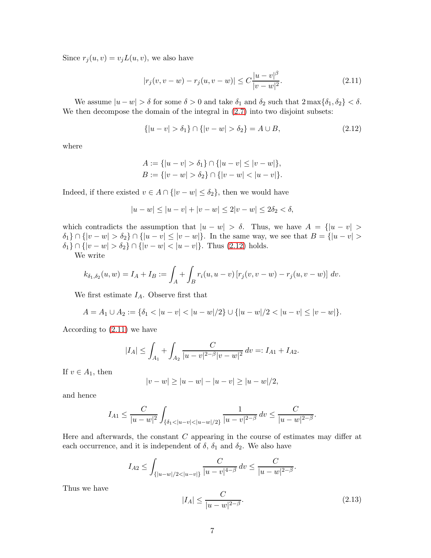Since  $r_j(u, v) = v_j L(u, v)$ , we also have

<span id="page-6-1"></span>
$$
|r_j(v, v - w) - r_j(u, v - w)| \le C \frac{|u - v|^{\beta}}{|v - w|^2}.
$$
\n(2.11)

We assume  $|u - w| > \delta$  for some  $\delta > 0$  and take  $\delta_1$  and  $\delta_2$  such that  $2 \max{\delta_1, \delta_2} < \delta$ . We then decompose the domain of the integral in  $(2.7)$  into two disjoint subsets:

<span id="page-6-0"></span>
$$
\{|u - v| > \delta_1\} \cap \{|v - w| > \delta_2\} = A \cup B,\tag{2.12}
$$

where

$$
A := \{|u - v| > \delta_1\} \cap \{|u - v| \le |v - w|\},
$$
  

$$
B := \{|v - w| > \delta_2\} \cap \{|v - w| < |u - v|\}.
$$

Indeed, if there existed  $v \in A \cap \{ |v - w| \leq \delta_2 \}$ , then we would have

$$
|u - w| \le |u - v| + |v - w| \le 2|v - w| \le 2\delta_2 < \delta,
$$

which contradicts the assumption that  $|u - w| > \delta$ . Thus, we have  $A = \{ |u - v| > \delta \}$  $\delta_1$   $\cap$   $\{|v - w| > \delta_2\} \cap \{|u - v| \le |v - w|\}.$  In the same way, we see that  $B = \{|u - v| >$  $δ_1$ } ∩ {|v − w| >  $δ_2$ } ∩ {|v − w| < |u − v|}. Thus [\(2.12\)](#page-6-0) holds.

We write

$$
k_{\delta_1, \delta_2}(u, w) = I_A + I_B := \int_A + \int_B r_i(u, u - v) [r_j(v, v - w) - r_j(u, v - w)] dv.
$$

We first estimate  $I_A$ . Observe first that

$$
A = A_1 \cup A_2 := \{ \delta_1 < |u - v| < |u - w|/2 \} \cup \{ |u - w|/2 < |u - v| \le |v - w| \}.
$$

According to [\(2.11\)](#page-6-1) we have

$$
|I_A| \le \int_{A_1} + \int_{A_2} \frac{C}{|u - v|^{2-\beta} |v - w|^2} \, dv =: I_{A1} + I_{A2}.
$$

If  $v \in A_1$ , then

$$
|v - w| \ge |u - w| - |u - v| \ge |u - w|/2,
$$

and hence

$$
I_{A1} \le \frac{C}{|u - w|^2} \int_{\{\delta_1 < |u - v| < |u - w|/2\}} \frac{1}{|u - v|^{2 - \beta}} \, dv \le \frac{C}{|u - w|^{2 - \beta}}.
$$

Here and afterwards, the constant C appearing in the course of estimates may differ at each occurrence, and it is independent of  $\delta$ ,  $\delta_1$  and  $\delta_2$ . We also have

$$
I_{A2} \le \int_{\{|u-w|/2 < |u-v|\}} \frac{C}{|u-v|^{4-\beta}} dv \le \frac{C}{|u-w|^{2-\beta}}.
$$

Thus we have

<span id="page-6-2"></span>
$$
|I_A| \le \frac{C}{|u - w|^{2 - \beta}}.\tag{2.13}
$$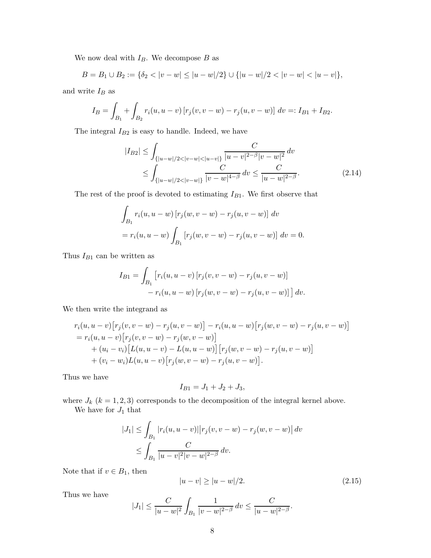We now deal with  $I_B$ . We decompose  $B$  as

$$
B = B_1 \cup B_2 := \{ \delta_2 < |v - w| \le |u - w|/2 \} \cup \{ |u - w|/2 < |v - w| < |u - v| \},
$$

and write  $\mathcal{I}_B$  as

$$
I_B = \int_{B_1} + \int_{B_2} r_i(u, u - v) [r_j(v, v - w) - r_j(u, v - w)] dv =: I_{B1} + I_{B2}.
$$

The integral  $\mathcal{I}_{B2}$  is easy to handle. Indeed, we have

<span id="page-7-1"></span>
$$
|I_{B2}| \leq \int_{\{|u-w|/2 < |v-w| < |u-v|\}} \frac{C}{|u-v|^{2-\beta}|v-w|^2} dv
$$
  
\n
$$
\leq \int_{\{|u-w|/2 < |v-w|\}} \frac{C}{|v-w|^{4-\beta}} dv \leq \frac{C}{|u-w|^{2-\beta}}.
$$
\n(2.14)

The rest of the proof is devoted to estimating  $I_{B1}$ . We first observe that

$$
\int_{B_1} r_i(u, u - w) [r_j(w, v - w) - r_j(u, v - w)] dv
$$
  
=  $r_i(u, u - w) \int_{B_1} [r_j(w, v - w) - r_j(u, v - w)] dv = 0.$ 

Thus  $I_{B1}$  can be written as

$$
I_{B1} = \int_{B_1} [r_i(u, u - v) [r_j(v, v - w) - r_j(u, v - w)] - r_i(u, u - w) [r_j(w, v - w) - r_j(u, v - w)]] dv.
$$

We then write the integrand as

$$
r_i(u, u - v) [r_j(v, v - w) - r_j(u, v - w)] - r_i(u, u - w) [r_j(w, v - w) - r_j(u, v - w)]
$$
  
=  $r_i(u, u - v) [r_j(v, v - w) - r_j(w, v - w)]$   
+  $(u_i - v_i) [L(u, u - v) - L(u, u - w)] [r_j(w, v - w) - r_j(u, v - w)]$   
+  $(v_i - w_i) L(u, u - v) [r_j(w, v - w) - r_j(u, v - w)].$ 

Thus we have

$$
I_{B1} = J_1 + J_2 + J_3,
$$

where  $J_k$  ( $k = 1, 2, 3$ ) corresponds to the decomposition of the integral kernel above. We have for  $J_1$  that

$$
|J_1| \le \int_{B_1} |r_i(u, u - v)| |r_j(v, v - w) - r_j(w, v - w)| dv
$$
  

$$
\le \int_{B_1} \frac{C}{|u - v|^2 |v - w|^{2 - \beta}} dv.
$$

Note that if  $v\in B_1,$  then

<span id="page-7-0"></span>
$$
|u - v| \ge |u - w|/2. \tag{2.15}
$$

Thus we have

$$
|J_1| \le \frac{C}{|u - w|^2} \int_{B_1} \frac{1}{|v - w|^{2-\beta}} dv \le \frac{C}{|u - w|^{2-\beta}}.
$$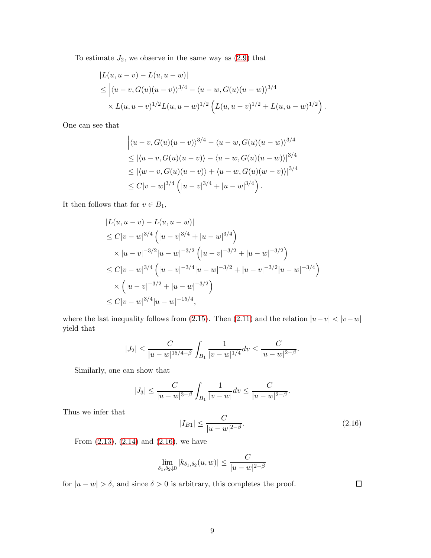To estimate  $J_2$ , we observe in the same way as  $(2.9)$  that

$$
|L(u, u - v) - L(u, u - w)|
$$
  
\n
$$
\leq | \langle u - v, G(u)(u - v) \rangle^{3/4} - \langle u - w, G(u)(u - w) \rangle^{3/4} |
$$
  
\n
$$
\times L(u, u - v)^{1/2} L(u, u - w)^{1/2} \left( L(u, u - v)^{1/2} + L(u, u - w)^{1/2} \right).
$$

One can see that

$$
\left| \langle u - v, G(u)(u - v) \rangle^{3/4} - \langle u - w, G(u)(u - w) \rangle^{3/4} \right|
$$
  
\n
$$
\leq |\langle u - v, G(u)(u - v) \rangle - \langle u - w, G(u)(u - w) \rangle|^{3/4}
$$
  
\n
$$
\leq |\langle w - v, G(u)(u - v) \rangle + \langle u - w, G(u)(w - v) \rangle|^{3/4}
$$
  
\n
$$
\leq C|v - w|^{3/4} \left( |u - v|^{3/4} + |u - w|^{3/4} \right).
$$

It then follows that for  $v \in B_1$ ,

$$
|L(u, u - v) - L(u, u - w)|
$$
  
\n
$$
\leq C|v - w|^{3/4} (|u - v|^{3/4} + |u - w|^{3/4})
$$
  
\n
$$
\times |u - v|^{-3/2} |u - w|^{-3/2} (|u - v|^{-3/2} + |u - w|^{-3/2})
$$
  
\n
$$
\leq C|v - w|^{3/4} (|u - v|^{-3/4} |u - w|^{-3/2} + |u - v|^{-3/2} |u - w|^{-3/4})
$$
  
\n
$$
\times (|u - v|^{-3/2} + |u - w|^{-3/2})
$$
  
\n
$$
\leq C|v - w|^{3/4} |u - w|^{-15/4},
$$

where the last inequality follows from [\(2.15\)](#page-7-0). Then [\(2.11\)](#page-6-1) and the relation  $|u-v| < |v-w|$ yield that

$$
|J_2| \le \frac{C}{|u - w|^{15/4 - \beta}} \int_{B_1} \frac{1}{|v - w|^{1/4}} dv \le \frac{C}{|u - w|^{2 - \beta}}.
$$

Similarly, one can show that

$$
|J_3| \le \frac{C}{|u - w|^{3-\beta}} \int_{B_1} \frac{1}{|v - w|} dv \le \frac{C}{|u - w|^{2-\beta}}.
$$

Thus we infer that

<span id="page-8-0"></span>
$$
|I_{B1}| \le \frac{C}{|u - w|^{2 - \beta}}.\tag{2.16}
$$

From [\(2.13\)](#page-6-2), [\(2.14\)](#page-7-1) and [\(2.16\)](#page-8-0), we have

$$
\lim_{\delta_1, \delta_2 \downarrow 0} |k_{\delta_1, \delta_2}(u, w)| \le \frac{C}{|u - w|^{2 - \beta}}
$$

for  $|u - w| > \delta$ , and since  $\delta > 0$  is arbitrary, this completes the proof.

 $\Box$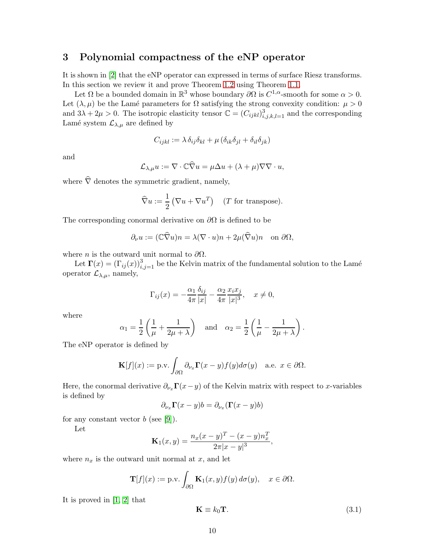### <span id="page-9-0"></span>3 Polynomial compactness of the eNP operator

It is shown in [\[2\]](#page-13-0) that the eNP operator can expressed in terms of surface Riesz transforms. In this section we review it and prove Theorem [1.2](#page-1-3) using Theorem [1.1.](#page-1-2)

Let  $\Omega$  be a bounded domain in  $\mathbb{R}^3$  whose boundary  $\partial\Omega$  is  $C^{1,\alpha}$ -smooth for some  $\alpha > 0$ . Let  $(\lambda, \mu)$  be the Lamé parameters for  $\Omega$  satisfying the strong convexity condition:  $\mu > 0$ and  $3\lambda + 2\mu > 0$ . The isotropic elasticity tensor  $\mathbb{C} = (C_{ijkl})_{i,j,k,l=1}^3$  and the corresponding Lamé system  $\mathcal{L}_{\lambda,\mu}$  are defined by

$$
C_{ijkl} := \lambda \, \delta_{ij} \delta_{kl} + \mu \left( \delta_{ik} \delta_{jl} + \delta_{il} \delta_{jk} \right)
$$

and

$$
\mathcal{L}_{\lambda,\mu}u := \nabla \cdot \mathbb{C}\widehat{\nabla}u = \mu \Delta u + (\lambda + \mu)\nabla \nabla \cdot u,
$$

where  $\hat{\nabla}$  denotes the symmetric gradient, namely,

$$
\widehat{\nabla} u := \frac{1}{2} \left( \nabla u + \nabla u^T \right) \quad (T \text{ for transpose}).
$$

The corresponding conormal derivative on  $\partial\Omega$  is defined to be

$$
\partial_{\nu} u := (\mathbb{C}\widehat{\nabla} u)n = \lambda(\nabla \cdot u)n + 2\mu(\widehat{\nabla} u)n \text{ on } \partial \Omega,
$$

where *n* is the outward unit normal to  $\partial\Omega$ .

Let  $\Gamma(x) = (\Gamma_{ij}(x))_{i,j=1}^3$  be the Kelvin matrix of the fundamental solution to the Lamé operator  $\mathcal{L}_{\lambda,\mu}$ , namely,

$$
\Gamma_{ij}(x) = -\frac{\alpha_1}{4\pi} \frac{\delta_{ij}}{|x|} - \frac{\alpha_2}{4\pi} \frac{x_i x_j}{|x|^3}, \quad x \neq 0,
$$

where

$$
\alpha_1 = \frac{1}{2} \left( \frac{1}{\mu} + \frac{1}{2\mu + \lambda} \right) \quad \text{and} \quad \alpha_2 = \frac{1}{2} \left( \frac{1}{\mu} - \frac{1}{2\mu + \lambda} \right).
$$

The eNP operator is defined by

$$
\mathbf{K}[f](x) := \text{p.v.} \int_{\partial\Omega} \partial_{\nu_x} \mathbf{\Gamma}(x - y) f(y) d\sigma(y) \quad \text{a.e. } x \in \partial\Omega.
$$

Here, the conormal derivative  $\partial_{\nu_x}\mathbf{\Gamma}(x-y)$  of the Kelvin matrix with respect to x-variables is defined by

$$
\partial_{\nu_x} \mathbf{\Gamma}(x - y) b = \partial_{\nu_x} (\mathbf{\Gamma}(x - y) b)
$$

for any constant vector  $b$  (see [\[9\]](#page-13-14)).

Let

$$
\mathbf{K}_1(x,y) = \frac{n_x(x-y)^T - (x-y)n_x^T}{2\pi|x-y|^3},
$$

where  $n_x$  is the outward unit normal at  $x$ , and let

$$
\mathbf{T}[f](x) := \text{p.v.} \int_{\partial\Omega} \mathbf{K}_1(x, y) f(y) \, d\sigma(y), \quad x \in \partial\Omega.
$$

It is proved in [\[1,](#page-13-8) [2\]](#page-13-0) that

<span id="page-9-1"></span>
$$
\mathbf{K} \equiv k_0 \mathbf{T}.\tag{3.1}
$$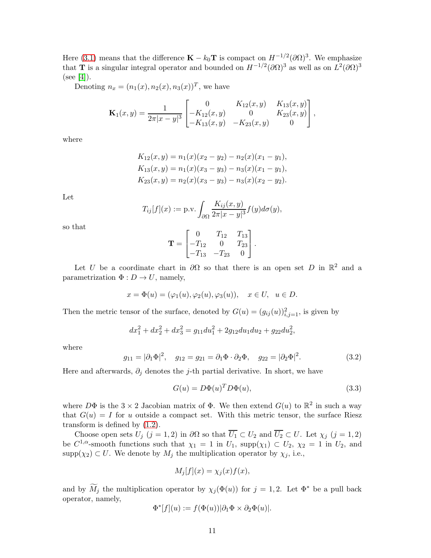Here [\(3.1\)](#page-9-1) means that the difference  $\mathbf{K} - k_0 \mathbf{T}$  is compact on  $H^{-1/2} (\partial \Omega)^3$ . We emphasize that **T** is a singular integral operator and bounded on  $H^{-1/2}(\partial\Omega)^3$  as well as on  $L^2(\partial\Omega)^3$  $(see [4]).$  $(see [4]).$  $(see [4]).$ 

Denoting  $n_x = (n_1(x), n_2(x), n_3(x))^T$ , we have

$$
\mathbf{K}_1(x,y) = \frac{1}{2\pi|x-y|^3} \begin{bmatrix} 0 & K_{12}(x,y) & K_{13}(x,y) \\ -K_{12}(x,y) & 0 & K_{23}(x,y) \\ -K_{13}(x,y) & -K_{23}(x,y) & 0 \end{bmatrix},
$$

where

$$
K_{12}(x, y) = n_1(x)(x_2 - y_2) - n_2(x)(x_1 - y_1),
$$
  
\n
$$
K_{13}(x, y) = n_1(x)(x_3 - y_3) - n_3(x)(x_1 - y_1),
$$
  
\n
$$
K_{23}(x, y) = n_2(x)(x_3 - y_3) - n_3(x)(x_2 - y_2).
$$

Let

$$
T_{ij}[f](x) := \text{p.v.} \int_{\partial\Omega} \frac{K_{ij}(x,y)}{2\pi |x-y|^3} f(y) d\sigma(y),
$$

so that

$$
\mathbf{T} = \begin{bmatrix} 0 & T_{12} & T_{13} \\ -T_{12} & 0 & T_{23} \\ -T_{13} & -T_{23} & 0 \end{bmatrix}.
$$

Let U be a coordinate chart in  $\partial\Omega$  so that there is an open set D in  $\mathbb{R}^2$  and a parametrization  $\Phi: D \to U$ , namely,

$$
x = \Phi(u) = (\varphi_1(u), \varphi_2(u), \varphi_3(u)), \quad x \in U, \ u \in D.
$$

Then the metric tensor of the surface, denoted by  $G(u) = (g_{ij}(u))_{i,j=1}^2$ , is given by

$$
dx_1^2 + dx_2^2 + dx_3^2 = g_{11}du_1^2 + 2g_{12}du_1du_2 + g_{22}du_2^2,
$$

where

<span id="page-10-0"></span>
$$
g_{11} = |\partial_1 \Phi|^2
$$
,  $g_{12} = g_{21} = \partial_1 \Phi \cdot \partial_2 \Phi$ ,  $g_{22} = |\partial_2 \Phi|^2$ . (3.2)

Here and afterwards,  $\partial_j$  denotes the j-th partial derivative. In short, we have

<span id="page-10-1"></span>
$$
G(u) = D\Phi(u)^T D\Phi(u), \qquad (3.3)
$$

where  $D\Phi$  is the  $3 \times 2$  Jacobian matrix of  $\Phi$ . We then extend  $G(u)$  to  $\mathbb{R}^2$  in such a way that  $G(u) = I$  for u outside a compact set. With this metric tensor, the surface Riesz transform is defined by [\(1.2\)](#page-0-1).

Choose open sets  $U_j$   $(j = 1, 2)$  in  $\partial\Omega$  so that  $\overline{U_1} \subset U_2$  and  $\overline{U_2} \subset U$ . Let  $\chi_j$   $(j = 1, 2)$ be  $C^{1,\alpha}$ -smooth functions such that  $\chi_1 = 1$  in  $U_1$ ,  $supp(\chi_1) \subset U_2$ ,  $\chi_2 = 1$  in  $U_2$ , and  $\text{supp}(\chi_2) \subset U$ . We denote by  $M_j$  the multiplication operator by  $\chi_j$ , i.e.,

$$
M_j[f](x) = \chi_j(x)f(x),
$$

and by  $\widetilde{M}_j$  the multiplication operator by  $\chi_j(\Phi(u))$  for  $j = 1, 2$ . Let  $\Phi^*$  be a pull back operator, namely,

$$
\Phi^*[f](u) := f(\Phi(u))|\partial_1 \Phi \times \partial_2 \Phi(u)|.
$$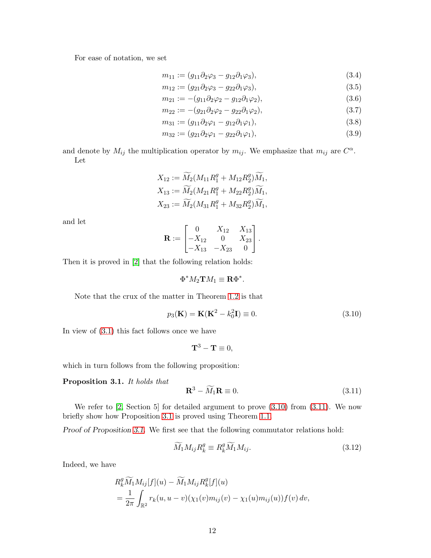For ease of notation, we set

<span id="page-11-4"></span>
$$
m_{11} := (g_{11}\partial_2\varphi_3 - g_{12}\partial_1\varphi_3),
$$
\n(3.4)

$$
m_{12} := (g_{21}\partial_2\varphi_3 - g_{22}\partial_1\varphi_3),\tag{3.5}
$$

$$
m_{21} := -(g_{11}\partial_2\varphi_2 - g_{12}\partial_1\varphi_2),\tag{3.6}
$$

$$
m_{22} := -(g_{21}\partial_2\varphi_2 - g_{22}\partial_1\varphi_2), \tag{3.7}
$$

<span id="page-11-5"></span>
$$
m_{31} := (g_{11}\partial_2\varphi_1 - g_{12}\partial_1\varphi_1), \tag{3.8}
$$

$$
m_{32} := (g_{21}\partial_2\varphi_1 - g_{22}\partial_1\varphi_1), \tag{3.9}
$$

and denote by  $M_{ij}$  the multiplication operator by  $m_{ij}$ . We emphasize that  $m_{ij}$  are  $C^{\alpha}$ . Let

$$
X_{12} := \widetilde{M}_2(M_{11}R_1^g + M_{12}R_2^g)\widetilde{M}_1,
$$
  
\n
$$
X_{13} := \widetilde{M}_2(M_{21}R_1^g + M_{22}R_2^g)\widetilde{M}_1,
$$
  
\n
$$
X_{23} := \widetilde{M}_2(M_{31}R_1^g + M_{32}R_2^g)\widetilde{M}_1,
$$

and let

$$
\mathbf{R} := \begin{bmatrix} 0 & X_{12} & X_{13} \\ -X_{12} & 0 & X_{23} \\ -X_{13} & -X_{23} & 0 \end{bmatrix}.
$$

Then it is proved in [\[2\]](#page-13-0) that the following relation holds:

$$
\Phi^* M_2 \mathbf{T} M_1 \equiv \mathbf{R} \Phi^*.
$$

Note that the crux of the matter in Theorem [1.2](#page-1-3) is that

<span id="page-11-0"></span>
$$
p_3(\mathbf{K}) = \mathbf{K}(\mathbf{K}^2 - k_0^2 \mathbf{I}) \equiv 0.
$$
 (3.10)

In view of [\(3.1\)](#page-9-1) this fact follows once we have

$$
\mathbf{T}^3 - \mathbf{T} \equiv 0,
$$

which in turn follows from the following proposition:

#### <span id="page-11-2"></span>Proposition 3.1. *It holds that*

<span id="page-11-1"></span>
$$
\mathbf{R}^3 - \widetilde{M}_1 \mathbf{R} \equiv 0. \tag{3.11}
$$

We refer to  $[2, \text{Section 5}]$  for detailed argument to prove  $(3.10)$  from  $(3.11)$ . We now briefly show how Proposition [3.1](#page-11-2) is proved using Theorem [1.1.](#page-1-2)

Proof of Proposition [3.1](#page-11-2). We first see that the following commutator relations hold:

<span id="page-11-3"></span>
$$
\widetilde{M}_1 M_{ij} R_k^g \equiv R_k^g \widetilde{M}_1 M_{ij}.
$$
\n(3.12)

Indeed, we have

$$
R_k^g \widetilde{M}_1 M_{ij}[f](u) - \widetilde{M}_1 M_{ij} R_k^g[f](u)
$$
  
= 
$$
\frac{1}{2\pi} \int_{\mathbb{R}^2} r_k(u, u - v)(\chi_1(v) m_{ij}(v) - \chi_1(u) m_{ij}(u)) f(v) dv,
$$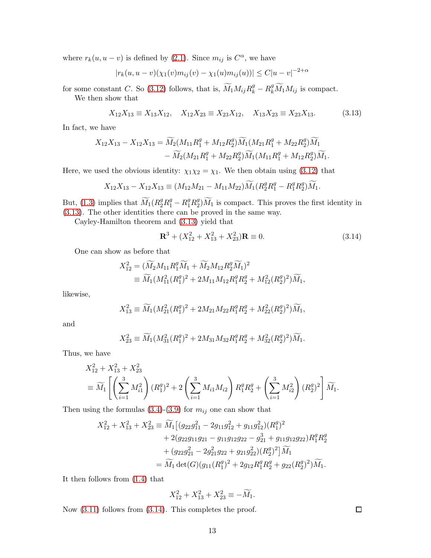where  $r_k(u, u - v)$  is defined by [\(2.1\)](#page-2-1). Since  $m_{ij}$  is  $C^{\alpha}$ , we have

$$
|r_k(u, u - v)(\chi_1(v)m_{ij}(v) - \chi_1(u)m_{ij}(u))| \le C|u - v|^{-2+\alpha}
$$

for some constant C. So [\(3.12\)](#page-11-3) follows, that is,  $\widetilde{M}_1 M_{ij} R_k^g - R_k^g \widetilde{M}_1 M_{ij}$  is compact.

We then show that

<span id="page-12-0"></span>
$$
X_{12}X_{13} \equiv X_{13}X_{12}, \quad X_{12}X_{23} \equiv X_{23}X_{12}, \quad X_{13}X_{23} \equiv X_{23}X_{13}.\tag{3.13}
$$

In fact, we have

$$
X_{12}X_{13} - X_{12}X_{13} = \widetilde{M}_2(M_{11}R_1^g + M_{12}R_2^g)\widetilde{M}_1(M_{21}R_1^g + M_{22}R_2^g)\widetilde{M}_1 - \widetilde{M}_2(M_{21}R_1^g + M_{22}R_2^g)\widetilde{M}_1(M_{11}R_1^g + M_{12}R_2^g)\widetilde{M}_1.
$$

Here, we used the obvious identity:  $\chi_1 \chi_2 = \chi_1$ . We then obtain using [\(3.12\)](#page-11-3) that

$$
X_{12}X_{13} - X_{12}X_{13} \equiv (M_{12}M_{21} - M_{11}M_{22})\widetilde{M}_1 (R_2^g R_1^g - R_1^g R_2^g)\widetilde{M}_1.
$$

But, [\(1.3\)](#page-1-0) implies that  $\widetilde{M}_1(R_2^gR_1^g - R_1^gR_2^g)\widetilde{M}_1$  is compact. This proves the first identity in [\(3.13\)](#page-12-0). The other identities there can be proved in the same way.

Cayley-Hamilton theorem and [\(3.13\)](#page-12-0) yield that

<span id="page-12-1"></span>
$$
\mathbf{R}^3 + (X_{12}^2 + X_{13}^2 + X_{23}^2)\mathbf{R} \equiv 0. \tag{3.14}
$$

One can show as before that

$$
\begin{split} X_{12}^2 &= (\widetilde{M}_2 M_{11} R_1^g \widetilde{M}_1 + \widetilde{M}_2 M_{12} R_2^g \widetilde{M}_1)^2 \\ &\equiv \widetilde{M}_1 (M_{11}^2 (R_1^g)^2 + 2M_{11} M_{12} R_1^g R_2^g + M_{12}^2 (R_2^g)^2) \widetilde{M}_1, \end{split}
$$

likewise,

$$
X_{13}^2 \equiv \widetilde{M}_1 (M_{21}^2 (R_1^g)^2 + 2M_{21} M_{22} R_1^g R_2^g + M_{22}^2 (R_2^g)^2) \widetilde{M}_1,
$$

and

$$
X_{23}^2 \equiv \widetilde{M}_1 (M_{31}^2 (R_1^g)^2 + 2M_{31} M_{32} R_1^g R_2^g + M_{32}^2 (R_2^g)^2) \widetilde{M}_1.
$$

Thus, we have

$$
X_{12}^2 + X_{13}^2 + X_{23}^2
$$
  
=  $\widetilde{M}_1 \left[ \left( \sum_{i=1}^3 M_{i1}^2 \right) (R_1^g)^2 + 2 \left( \sum_{i=1}^3 M_{i1} M_{i2} \right) R_1^g R_2^g + \left( \sum_{i=1}^3 M_{i2}^2 \right) (R_2^g)^2 \right] \widetilde{M}_1.$ 

Then using the formulas  $(3.4)-(3.9)$  $(3.4)-(3.9)$  for  $m_{ij}$  one can show that

$$
\begin{split} X_{12}^2+X_{13}^2+X_{23}^2 &\equiv \widetilde{M}_1 \big[(g_{22}g_{11}^2-2g_{11}g_{12}^2+g_{11}g_{12}^2)(R_1^g)^2\\ &\quad+2(g_{22}g_{11}g_{21}-g_{11}g_{12}g_{22}-g_{21}^3+g_{11}g_{12}g_{22})R_1^gR_2^g\\ &\quad+(g_{22}g_{21}^2-2g_{21}^2g_{22}+g_{21}g_{22}^2)(R_2^g)^2\big]\widetilde{M}_1\\ &\quad=\widetilde{M}_1\det(G)(g_{11}(R_1^g)^2+2g_{12}R_1^gR_2^g+g_{22}(R_2^g)^2)\widetilde{M}_1. \end{split}
$$

It then follows from [\(1.4\)](#page-1-1) that

$$
X_{12}^2 + X_{13}^2 + X_{23}^2 \equiv -\widetilde{M}_1.
$$

Now  $(3.11)$  follows from  $(3.14)$ . This completes the proof.

 $\Box$